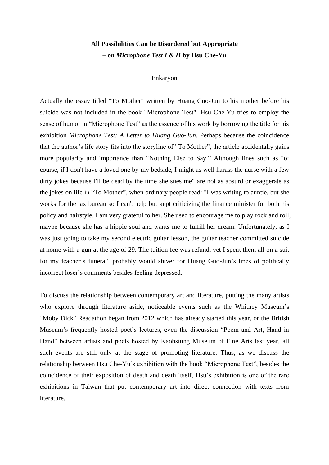## **All Possibilities Can be Disordered but Appropriate – on** *Microphone Test I & II* **by Hsu Che-Yu**

## Enkaryon

Actually the essay titled "To Mother" written by Huang Guo-Jun to his mother before his suicide was not included in the book "Microphone Test". Hsu Che-Yu tries to employ the sense of humor in "Microphone Test" as the essence of his work by borrowing the title for his exhibition *Microphone Test: A Letter to Huang Guo-Jun*. Perhaps because the coincidence that the author's life story fits into the storyline of "To Mother", the article accidentally gains more popularity and importance than "Nothing Else to Say." Although lines such as "of course, if I don't have a loved one by my bedside, I might as well harass the nurse with a few dirty jokes because I'll be dead by the time she sues me" are not as absurd or exaggerate as the jokes on life in "To Mother", when ordinary people read: "I was writing to auntie, but she works for the tax bureau so I can't help but kept criticizing the finance minister for both his policy and hairstyle. I am very grateful to her. She used to encourage me to play rock and roll, maybe because she has a hippie soul and wants me to fulfill her dream. Unfortunately, as I was just going to take my second electric guitar lesson, the guitar teacher committed suicide at home with a gun at the age of 29. The tuition fee was refund, yet I spent them all on a suit for my teacher's funeral" probably would shiver for Huang Guo-Jun's lines of politically incorrect loser's comments besides feeling depressed.

To discuss the relationship between contemporary art and literature, putting the many artists who explore through literature aside, noticeable events such as the Whitney Museum's "Moby Dick" Readathon began from 2012 which has already started this year, or the British Museum's frequently hosted poet's lectures, even the discussion "Poem and Art, Hand in Hand" between artists and poets hosted by Kaohsiung Museum of Fine Arts last year, all such events are still only at the stage of promoting literature. Thus, as we discuss the relationship between Hsu Che-Yu's exhibition with the book "Microphone Test", besides the coincidence of their exposition of death and death itself, Hsu's exhibition is one of the rare exhibitions in Taiwan that put contemporary art into direct connection with texts from literature.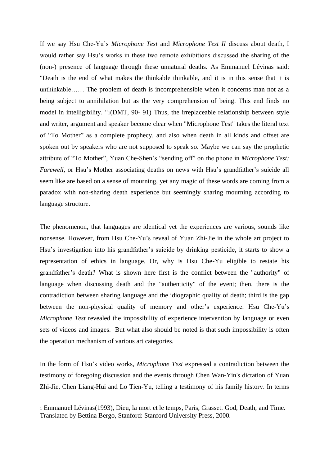If we say Hsu Che-Yu's *Microphone Test* and *Microphone Test II* discuss about death, I would rather say Hsu's works in these two remote exhibitions discussed the sharing of the (non-) presence of language through these unnatural deaths. As Emmanuel Lévinas said: "Death is the end of what makes the thinkable thinkable, and it is in this sense that it is unthinkable…… The problem of death is incomprehensible when it concerns man not as a being subject to annihilation but as the very comprehension of being. This end finds no model in intelligibility. "1(DMT, 90- 91) Thus, the irreplaceable relationship between style and writer, argument and speaker become clear when "Microphone Test" takes the literal text of "To Mother" as a complete prophecy, and also when death in all kinds and offset are spoken out by speakers who are not supposed to speak so. Maybe we can say the prophetic attribute of "To Mother", Yuan Che-Shen's "sending off" on the phone in *Microphone Test: Farewell*, or Hsu's Mother associating deaths on news with Hsu's grandfather's suicide all seem like are based on a sense of mourning, yet any magic of these words are coming from a paradox with non-sharing death experience but seemingly sharing mourning according to language structure.

The phenomenon, that languages are identical yet the experiences are various, sounds like nonsense. However, from Hsu Che-Yu's reveal of Yuan Zhi-Jie in the whole art project to Hsu's investigation into his grandfather's suicide by drinking pesticide, it starts to show a representation of ethics in language. Or, why is Hsu Che-Yu eligible to restate his grandfather's death? What is shown here first is the conflict between the "authority" of language when discussing death and the "authenticity" of the event; then, there is the contradiction between sharing language and the idiographic quality of death; third is the gap between the non-physical quality of memory and other's experience. Hsu Che-Yu's *Microphone Test* revealed the impossibility of experience intervention by language or even sets of videos and images. But what also should be noted is that such impossibility is often the operation mechanism of various art categories.

In the form of Hsu's video works, *Microphone Test* expressed a contradiction between the testimony of foregoing discussion and the events through Chen Wan-Yin's dictation of Yuan Zhi-Jie, Chen Liang-Hui and Lo Tien-Yu, telling a testimony of his family history. In terms

<sup>1</sup> Emmanuel Lévinas(1993), Dieu, la mort et le temps, Paris, Grasset. God, Death, and Time. Translated by Bettina Bergo, Stanford: Stanford University Press, 2000.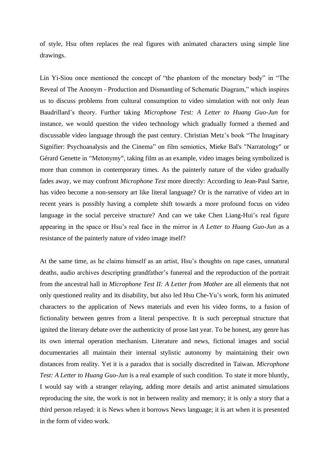of style, Hsu often replaces the real figures with animated characters using simple line drawings.

Lin Yi-Siou once mentioned the concept of "the phantom of the monetary body" in "The Reveal of The Anonym - Production and Dismantling of Schematic Diagram," which inspires us to discuss problems from cultural consumption to video simulation with not only Jean Baudrillard's theory. Further taking *Microphone Test: A Letter to Huang Guo-Jun* for instance, we would question the video technology which gradually formed a themed and discussable video language through the past century. Christian Metz's book "The Imaginary Signifier: Psychoanalysis and the Cinema" on film semiotics, Mieke Bal's "Narratology" or Gérard Genette in "Metonymy", taking film as an example, video images being symbolized is more than common in contemporary times. As the painterly nature of the video gradually fades away, we may confront *Microphone Test* more directly: According to Jean-Paul Sartre, has video become a non-sensory art like literal language? Or is the narrative of video art in recent years is possibly having a complete shift towards a more profound focus on video language in the social perceive structure? And can we take Chen Liang-Hui's real figure appearing in the space or Hsu's real face in the mirror in *A Letter to Huang Guo-Jun* as a resistance of the painterly nature of video image itself?

At the same time, as he claims himself as an artist, Hsu's thoughts on rape cases, unnatural deaths, audio archives descripting grandfather's funereal and the reproduction of the portrait from the ancestral hall in *Microphone Test II: A Letter from Mother* are all elements that not only questioned reality and its disability, but also led Hsu Che-Yu's work, form his animated characters to the application of News materials and even his video forms, to a fusion of fictionality between genres from a literal perspective. It is such perceptual structure that ignited the literary debate over the authenticity of prose last year. To be honest, any genre has its own internal operation mechanism. Literature and news, fictional images and social documentaries all maintain their internal stylistic autonomy by maintaining their own distances from reality. Yet it is a paradox that is socially discredited in Taiwan. *Microphone Test: A Letter to Huang Guo-Jun* is a real example of such condition. To state it more bluntly, I would say with a stranger relaying, adding more details and artist animated simulations reproducing the site, the work is not in between reality and memory; it is only a story that a third person relayed: it is News when it borrows News language; it is art when it is presented in the form of video work.